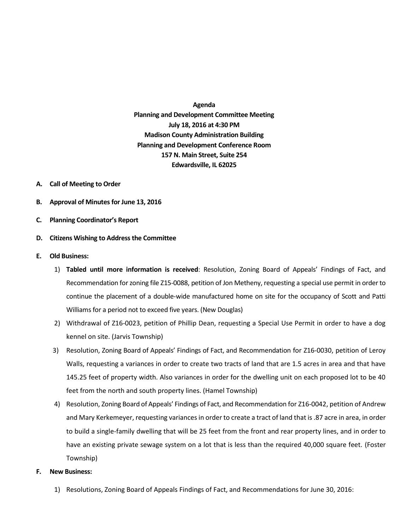# **Agenda Planning and Development Committee Meeting July 18, 2016 at 4:30 PM Madison County Administration Building**

**Planning and Development Conference Room 157 N. Main Street, Suite 254 Edwardsville, IL 62025**

## **A. Call of Meeting to Order**

- **B. Approval of Minutes for June 13, 2016**
- **C. Planning Coordinator's Report**

## **D. Citizens Wishing to Address the Committee**

## **E. Old Business:**

- 1) **Tabled until more information is received**: Resolution, Zoning Board of Appeals' Findings of Fact, and Recommendation for zoning file Z15-0088, petition of Jon Metheny, requesting a special use permit in order to continue the placement of a double-wide manufactured home on site for the occupancy of Scott and Patti Williams for a period not to exceed five years. (New Douglas)
- 2) Withdrawal of Z16-0023, petition of Phillip Dean, requesting a Special Use Permit in order to have a dog kennel on site. (Jarvis Township)
- 3) Resolution, Zoning Board of Appeals' Findings of Fact, and Recommendation for Z16-0030, petition of Leroy Walls, requesting a variances in order to create two tracts of land that are 1.5 acres in area and that have 145.25 feet of property width. Also variances in order for the dwelling unit on each proposed lot to be 40 feet from the north and south property lines. (Hamel Township)
- 4) Resolution, Zoning Board of Appeals' Findings of Fact, and Recommendation for Z16-0042, petition of Andrew and Mary Kerkemeyer, requesting variancesin order to create a tract of land that is .87 acre in area, in order to build a single-family dwelling that will be 25 feet from the front and rear property lines, and in order to have an existing private sewage system on a lot that is less than the required 40,000 square feet. (Foster Township)

### **F. New Business:**

1) Resolutions, Zoning Board of Appeals Findings of Fact, and Recommendations for June 30, 2016: